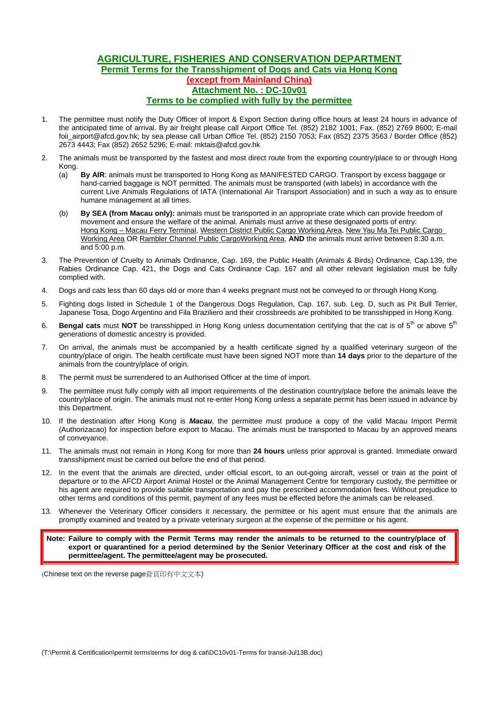## **AGRICULTURE, FISHERIES AND CONSERVATION DEPARTMENT Permit Terms for the Transshipment of Dogs and Cats via Hong Kong (except from Mainland China) Attachment No. : DC-10v01 Terms to be complied with fully by the permittee**

- 1. The permittee must notify the Duty Officer of Import & Export Section during office hours at least 24 hours in advance of the anticipated time of arrival. By air freight please call Airport Office Tel. (852) 2182 1001; Fax. (852) 2769 8600; E-mail foii airport@afcd.gov.hk; by sea please call Urban Office Tel. (852) 2150 7053; Fax (852) 2375 3563 / Border Office (852) 2673 4443; Fax (852) 2652 5296; E-mail: mktais@afcd.gov.hk
- 2. The animals must be transported by the fastest and most direct route from the exporting country/place to or through Hong Kong.
	- (a) **By AIR**: animals must be transported to Hong Kong as MANIFESTED CARGO. Transport by excess baggage or hand-carried baggage is NOT permitted. The animals must be transported (with labels) in accordance with the current Live Animals Regulations of IATA (International Air Transport Association) and in such a way as to ensure humane management at all times.
	- (b) **By SEA (from Macau only):** animals must be transported in an appropriate crate which can provide freedom of movement and ensure the welfare of the animal. Animals must arrive at these designated ports of entry: Hong Kong – Macau Ferry Terminal, Western District Public Cargo Working Area, New Yau Ma Tei Public Cargo Working Area OR Rambler Channel Public CargoWorking Area, **AND** the animals must arrive between 8:30 a.m. and 5:00 p.m.
- 3. The Prevention of Cruelty to Animals Ordinance, Cap. 169, the Public Health (Animals & Birds) Ordinance, Cap.139, the Rabies Ordinance Cap. 421, the Dogs and Cats Ordinance Cap. 167 and all other relevant legislation must be fully complied with.
- 4. Dogs and cats less than 60 days old or more than 4 weeks pregnant must not be conveyed to or through Hong Kong.
- 5. Fighting dogs listed in Schedule 1 of the Dangerous Dogs Regulation, Cap. 167, sub. Leg. D, such as Pit Bull Terrier, Japanese Tosa, Dogo Argentino and Fila Braziliero and their crossbreeds are prohibited to be transshipped in Hong Kong.
- 6. **Bengal cats** must NOT be transshipped in Hong Kong unless documentation certifying that the cat is of 5<sup>th</sup> or above 5<sup>th</sup> generations of domestic ancestry is provided.
- 7. On arrival, the animals must be accompanied by a health certificate signed by a qualified veterinary surgeon of the country/place of origin. The health certificate must have been signed NOT more than **14 days** prior to the departure of the animals from the country/place of origin.
- 8. The permit must be surrendered to an Authorised Officer at the time of import.
- 9. The permittee must fully comply with all import requirements of the destination country/place before the animals leave the country/place of origin. The animals must not re-enter Hong Kong unless a separate permit has been issued in advance by this Department.
- 10. If the destination after Hong Kong is *Macau*, the permittee must produce a copy of the valid Macau Import Permit (Authorizacao) for inspection before export to Macau. The animals must be transported to Macau by an approved means of conveyance.
- 11. The animals must not remain in Hong Kong for more than **24 hours** unless prior approval is granted. Immediate onward transshipment must be carried out before the end of that period.
- 12. In the event that the animals are directed, under official escort, to an out-going aircraft, vessel or train at the point of departure or to the AFCD Airport Animal Hostel or the Animal Management Centre for temporary custody, the permittee or his agent are required to provide suitable transportation and pay the prescribed accommodation fees. Without prejudice to other terms and conditions of this permit, payment of any fees must be effected before the animals can be released.
- 13. Whenever the Veterinary Officer considers it necessary, the permittee or his agent must ensure that the animals are promptly examined and treated by a private veterinary surgeon at the expense of the permittee or his agent.

**Note: Failure to comply with the Permit Terms may render the animals to be returned to the country/place of export or quarantined for a period determined by the Senior Veterinary Officer at the cost and risk of the permittee/agent. The permittee/agent may be prosecuted.** 

(Chinese text on the reverse page背頁印有中文文本)